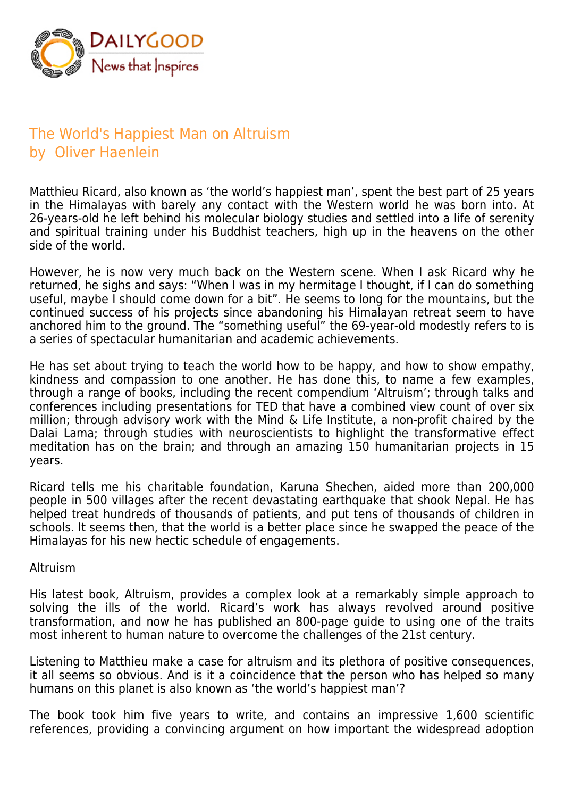

# The World's Happiest Man on Altruism by Oliver Haenlein

Matthieu Ricard, also known as 'the world's happiest man', spent the best part of 25 years in the Himalayas with barely any contact with the Western world he was born into. At 26-years-old he left behind his molecular biology studies and settled into a life of serenity and spiritual training under his Buddhist teachers, high up in the heavens on the other side of the world.

However, he is now very much back on the Western scene. When I ask Ricard why he returned, he sighs and says: "When I was in my hermitage I thought, if I can do something useful, maybe I should come down for a bit". He seems to long for the mountains, but the continued success of his projects since abandoning his Himalayan retreat seem to have anchored him to the ground. The "something useful" the 69-year-old modestly refers to is a series of spectacular humanitarian and academic achievements.

He has set about trying to teach the world how to be happy, and how to show empathy, kindness and compassion to one another. He has done this, to name a few examples, through a range of books, including the recent compendium 'Altruism'; through talks and conferences including presentations for TED that have a combined view count of over six million; through advisory work with the Mind & Life Institute, a non-profit chaired by the Dalai Lama; through studies with neuroscientists to highlight the transformative effect meditation has on the brain; and through an amazing 150 humanitarian projects in 15 years.

Ricard tells me his charitable foundation, Karuna Shechen, aided more than 200,000 people in 500 villages after the recent devastating earthquake that shook Nepal. He has helped treat hundreds of thousands of patients, and put tens of thousands of children in schools. It seems then, that the world is a better place since he swapped the peace of the Himalayas for his new hectic schedule of engagements.

#### Altruism

His latest book, Altruism, provides a complex look at a remarkably simple approach to solving the ills of the world. Ricard's work has always revolved around positive transformation, and now he has published an 800-page guide to using one of the traits most inherent to human nature to overcome the challenges of the 21st century.

Listening to Matthieu make a case for altruism and its plethora of positive consequences, it all seems so obvious. And is it a coincidence that the person who has helped so many humans on this planet is also known as 'the world's happiest man'?

The book took him five years to write, and contains an impressive 1,600 scientific references, providing a convincing argument on how important the widespread adoption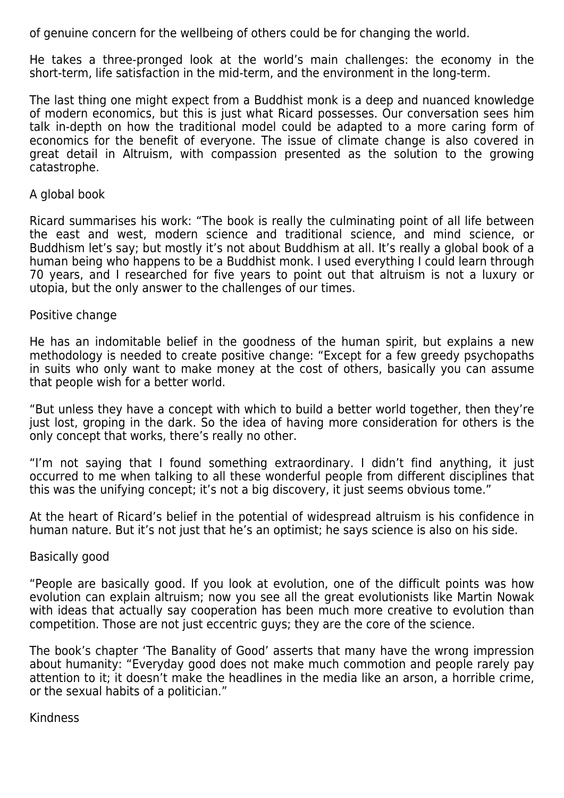of genuine concern for the wellbeing of others could be for changing the world.

He takes a three-pronged look at the world's main challenges: the economy in the short-term, life satisfaction in the mid-term, and the environment in the long-term.

The last thing one might expect from a Buddhist monk is a deep and nuanced knowledge of modern economics, but this is just what Ricard possesses. Our conversation sees him talk in-depth on how the traditional model could be adapted to a more caring form of economics for the benefit of everyone. The issue of climate change is also covered in great detail in Altruism, with compassion presented as the solution to the growing catastrophe.

# A global book

Ricard summarises his work: "The book is really the culminating point of all life between the east and west, modern science and traditional science, and mind science, or Buddhism let's say; but mostly it's not about Buddhism at all. It's really a global book of a human being who happens to be a Buddhist monk. I used everything I could learn through 70 years, and I researched for five years to point out that altruism is not a luxury or utopia, but the only answer to the challenges of our times.

# Positive change

He has an indomitable belief in the goodness of the human spirit, but explains a new methodology is needed to create positive change: "Except for a few greedy psychopaths in suits who only want to make money at the cost of others, basically you can assume that people wish for a better world.

"But unless they have a concept with which to build a better world together, then they're just lost, groping in the dark. So the idea of having more consideration for others is the only concept that works, there's really no other.

"I'm not saying that I found something extraordinary. I didn't find anything, it just occurred to me when talking to all these wonderful people from different disciplines that this was the unifying concept; it's not a big discovery, it just seems obvious tome."

At the heart of Ricard's belief in the potential of widespread altruism is his confidence in human nature. But it's not just that he's an optimist; he says science is also on his side.

## Basically good

"People are basically good. If you look at evolution, one of the difficult points was how evolution can explain altruism; now you see all the great evolutionists like Martin Nowak with ideas that actually say cooperation has been much more creative to evolution than competition. Those are not just eccentric guys; they are the core of the science.

The book's chapter 'The Banality of Good' asserts that many have the wrong impression about humanity: "Everyday good does not make much commotion and people rarely pay attention to it; it doesn't make the headlines in the media like an arson, a horrible crime, or the sexual habits of a politician."

## Kindness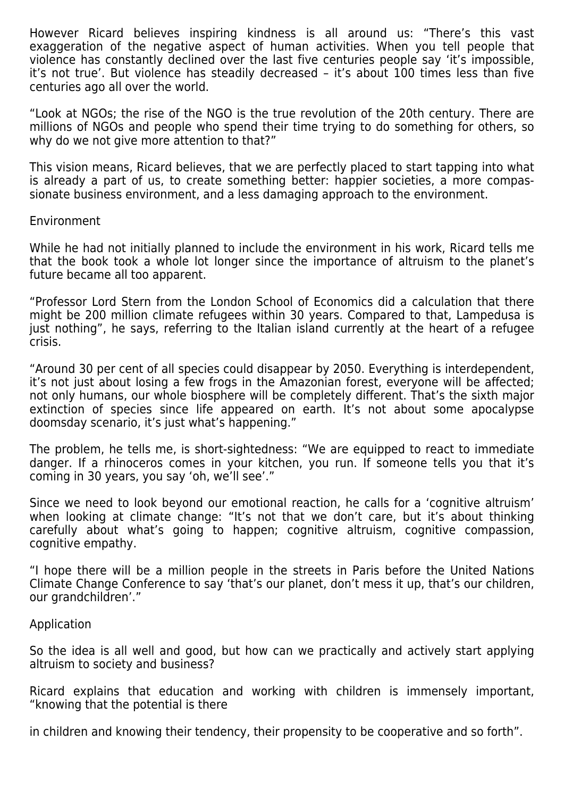However Ricard believes inspiring kindness is all around us: "There's this vast exaggeration of the negative aspect of human activities. When you tell people that violence has constantly declined over the last five centuries people say 'it's impossible, it's not true'. But violence has steadily decreased – it's about 100 times less than five centuries ago all over the world.

"Look at NGOs; the rise of the NGO is the true revolution of the 20th century. There are millions of NGOs and people who spend their time trying to do something for others, so why do we not give more attention to that?"

This vision means, Ricard believes, that we are perfectly placed to start tapping into what is already a part of us, to create something better: happier societies, a more compassionate business environment, and a less damaging approach to the environment.

#### Environment

While he had not initially planned to include the environment in his work, Ricard tells me that the book took a whole lot longer since the importance of altruism to the planet's future became all too apparent.

"Professor Lord Stern from the London School of Economics did a calculation that there might be 200 million climate refugees within 30 years. Compared to that, Lampedusa is just nothing", he says, referring to the Italian island currently at the heart of a refugee crisis.

"Around 30 per cent of all species could disappear by 2050. Everything is interdependent, it's not just about losing a few frogs in the Amazonian forest, everyone will be affected; not only humans, our whole biosphere will be completely different. That's the sixth major extinction of species since life appeared on earth. It's not about some apocalypse doomsday scenario, it's just what's happening."

The problem, he tells me, is short-sightedness: "We are equipped to react to immediate danger. If a rhinoceros comes in your kitchen, you run. If someone tells you that it's coming in 30 years, you say 'oh, we'll see'."

Since we need to look beyond our emotional reaction, he calls for a 'cognitive altruism' when looking at climate change: "It's not that we don't care, but it's about thinking carefully about what's going to happen; cognitive altruism, cognitive compassion, cognitive empathy.

"I hope there will be a million people in the streets in Paris before the United Nations Climate Change Conference to say 'that's our planet, don't mess it up, that's our children, our grandchildren'."

## Application

So the idea is all well and good, but how can we practically and actively start applying altruism to society and business?

Ricard explains that education and working with children is immensely important, "knowing that the potential is there

in children and knowing their tendency, their propensity to be cooperative and so forth".